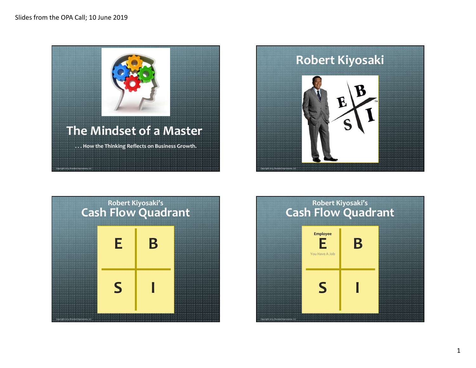





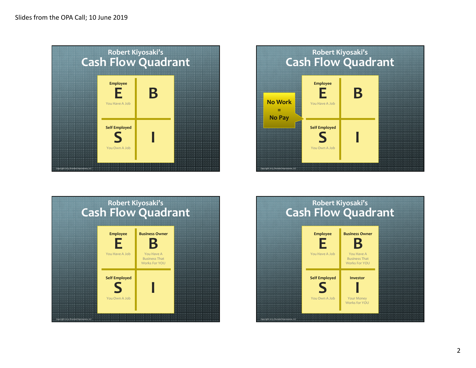





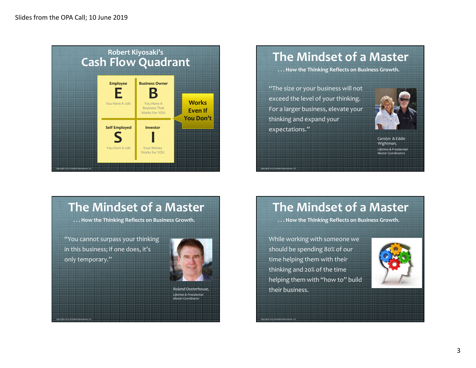

# **The Mindset of a Master**

**. . . How the Thinking Reflects on Business Growth.**

"The size or your business will not exceed the level of your thinking. For a larger business, elevate your thinking and expand your expectations."

*Copyright 2013, Branded Impressions, LLC*

*Copyright 2013, Branded Impressions, LLC*



*Carolyn & Eddie Wightman, Lifetime & Presidential Master Coordinators*

## **The Mindset of a Master**

**. . . How the Thinking Reflects on Business Growth.**

"You cannot surpass your thinking in this business; if one does, it's only temporary."

*Copyright 2013, Branded Impressions, LLC*



*Roland Oosterhouse,Lifetime & Presidential Master Coordinator*

## **The Mindset of a Master**

**. . . How the Thinking Reflects on Business Growth.**

While working with someone we should be spending 80% of our time helping them with their thinking and 20% of the time helping them with "how to" build their business.

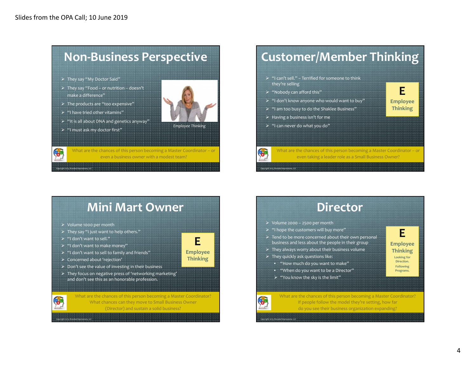

# **Customer/Member Thinking**

- $\triangleright$  "I can't sell." Terrified for someone to think<br>that live selling
- 
- 
- 

even taking a leader role as a Small Business Owner?

### **Mini Mart Owner**

- Volume 1000 per month
- $\triangleright$  They say "I just want to help others."
- $\ge$  "I don't want to sell."

*Copyright 2013, Branded Impressions, LLC*

Œ.

- $\blacktriangleright$  "I don't want to make money"
- $\triangleright$  "I don't want to sell to family and friends"
- $\geq$  Concerned about 'rejection'
- $\triangleright$  Don't see the value of investing in their business
- $\triangleright$  They focus on negative press of 'networking marketing'<br> $\cdot$ and don't see this as an honorable profession.

What are the chances of this person becoming a Master Coordinator? What chances can they move to Small Business Owner (Director) and sustain a solid business?

**E Employee Thinking**

# **Director**

- $\triangleright$  Volume 2000 2500 per month
- $\blacktriangleright$  "I hope the customers will buy more"
- $\triangleright$  Tend to be more concerned about their own personal<br>https://www.contractor.com/https://www.com/https://www.com/https://www.com/https://www.com/https://www.com/http business and less about the people in their group
- $\triangleright$  They always worry about their business volume
- $\blacktriangleright$  They quickly ask questions like:

*Copyright 2013, Branded Impressions, LLC*

- "How much do you want to make"
- "When do you want to be a Director"
- $\triangleright$  "You know the sky is the limit"

#### **EEmployee**

**Thinking**

**E Employee Thinking**

> **Looking for Direction. Following**

**Programs.**